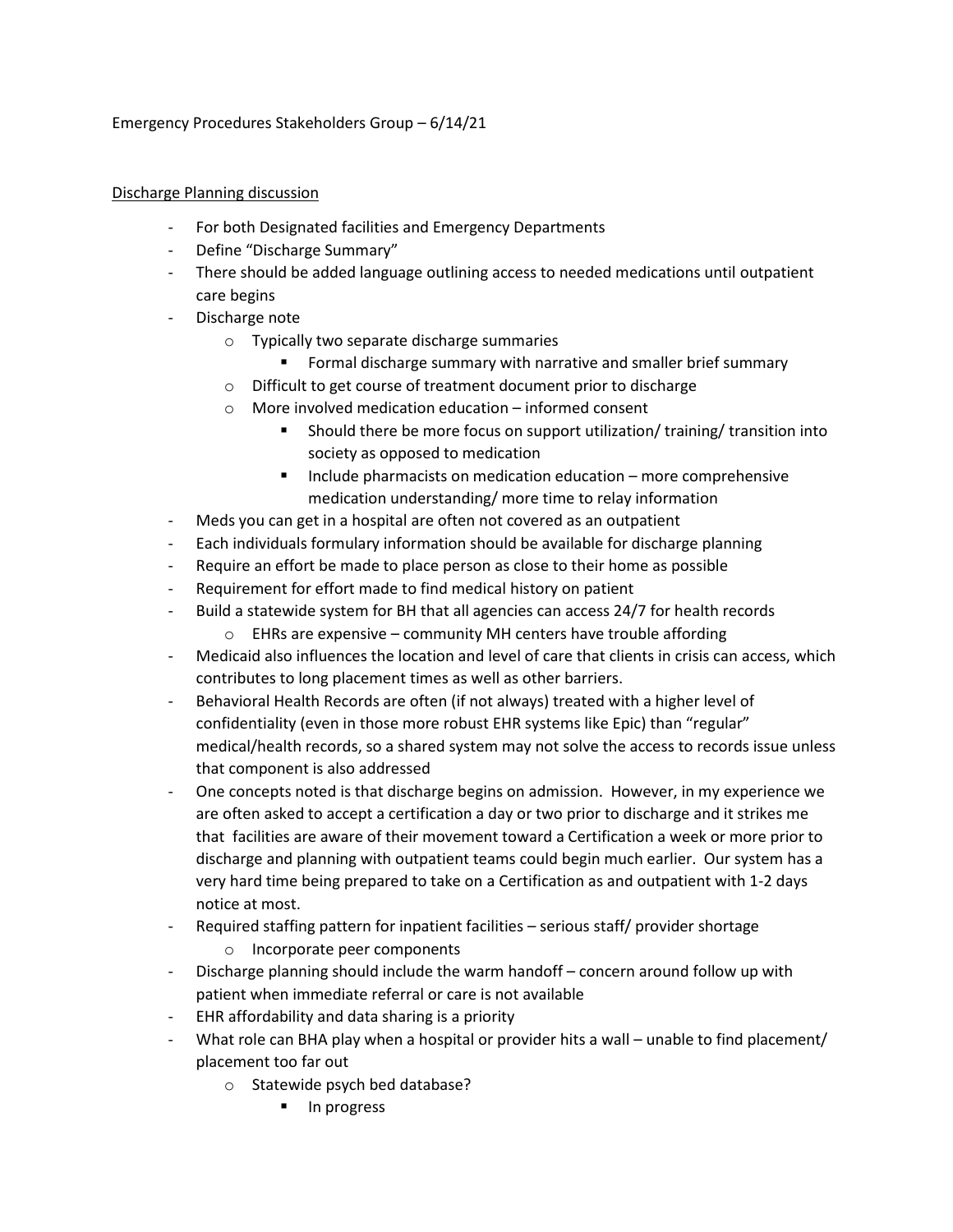## Emergency Procedures Stakeholders Group – 6/14/21

## Discharge Planning discussion

- For both Designated facilities and Emergency Departments
- Define "Discharge Summary"
- There should be added language outlining access to needed medications until outpatient care begins
- Discharge note
	- o Typically two separate discharge summaries
		- Formal discharge summary with narrative and smaller brief summary
	- o Difficult to get course of treatment document prior to discharge
	- o More involved medication education informed consent
		- Should there be more focus on support utilization/ training/ transition into society as opposed to medication
		- Include pharmacists on medication education more comprehensive medication understanding/ more time to relay information
- Meds you can get in a hospital are often not covered as an outpatient
- Each individuals formulary information should be available for discharge planning
- Require an effort be made to place person as close to their home as possible
- Requirement for effort made to find medical history on patient
- Build a statewide system for BH that all agencies can access 24/7 for health records
	- o EHRs are expensive community MH centers have trouble affording
- Medicaid also influences the location and level of care that clients in crisis can access, which contributes to long placement times as well as other barriers.
- Behavioral Health Records are often (if not always) treated with a higher level of confidentiality (even in those more robust EHR systems like Epic) than "regular" medical/health records, so a shared system may not solve the access to records issue unless that component is also addressed
- One concepts noted is that discharge begins on admission. However, in my experience we are often asked to accept a certification a day or two prior to discharge and it strikes me that facilities are aware of their movement toward a Certification a week or more prior to discharge and planning with outpatient teams could begin much earlier. Our system has a very hard time being prepared to take on a Certification as and outpatient with 1-2 days notice at most.
- Required staffing pattern for inpatient facilities serious staff/ provider shortage
	- o Incorporate peer components
- Discharge planning should include the warm handoff concern around follow up with patient when immediate referral or care is not available
- EHR affordability and data sharing is a priority
- What role can BHA play when a hospital or provider hits a wall unable to find placement/ placement too far out
	- o Statewide psych bed database?
		- In progress